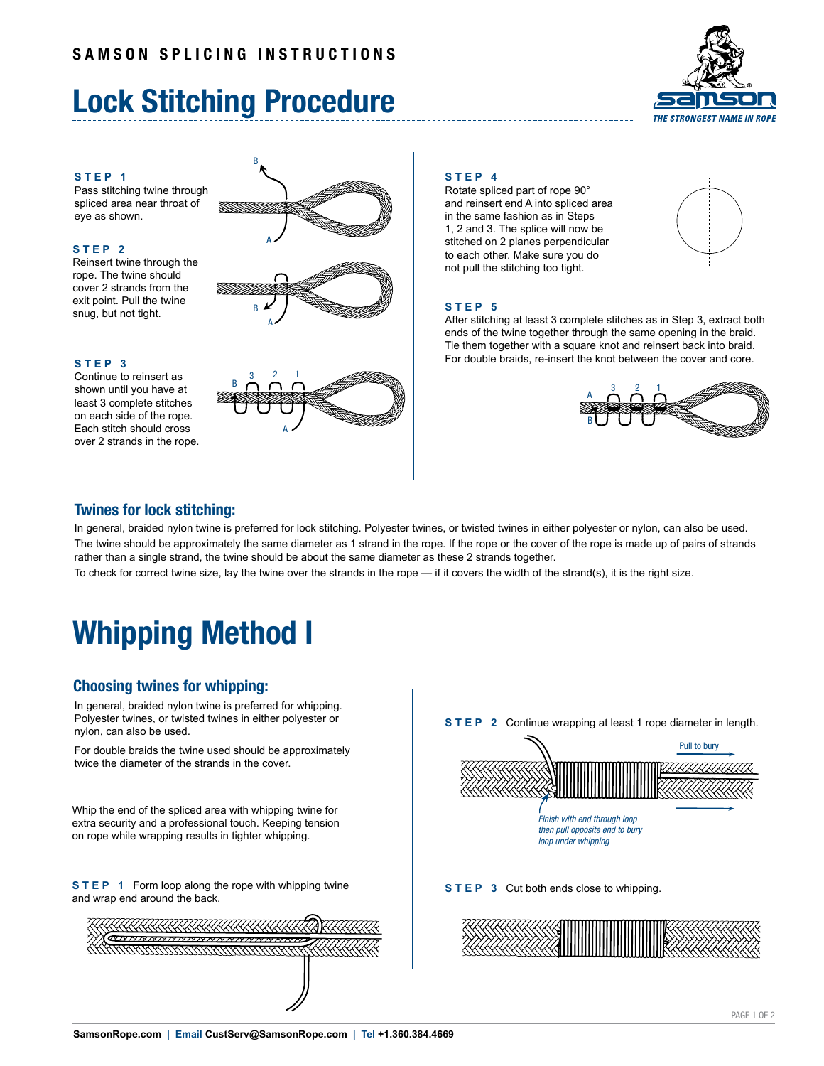# **Lock Stitching Procedure**



### **STEP 1**

Pass stitching twine through spliced area near throat of eye as shown.

### **STEP 2**

Reinsert twine through the rope. The twine should cover 2 strands from the exit point. Pull the twine snug, but not tight.

## **STEP 3**

Continue to reinsert as shown until you have at least 3 complete stitches on each side of the rope. Each stitch should cross over 2 strands in the rope.







### **STEP 4**

Rotate spliced part of rope 90° and reinsert end A into spliced area in the same fashion as in Steps 1, 2 and 3. The splice will now be stitched on 2 planes perpendicular to each other. Make sure you do not pull the stitching too tight.



## **STEP 5**

After stitching at least 3 complete stitches as in Step 3, extract both ends of the twine together through the same opening in the braid. Tie them together with a square knot and reinsert back into braid. For double braids, re-insert the knot between the cover and core.



## **Twines for lock stitching:**

In general, braided nylon twine is preferred for lock stitching. Polyester twines, or twisted twines in either polyester or nylon, can also be used. The twine should be approximately the same diameter as 1 strand in the rope. If the rope or the cover of the rope is made up of pairs of strands rather than a single strand, the twine should be about the same diameter as these 2 strands together.

To check for correct twine size, lay the twine over the strands in the rope — if it covers the width of the strand(s), it is the right size.

# **Whipping Method I**

## **Choosing twines for whipping:**

In general, braided nylon twine is preferred for whipping. Polyester twines, or twisted twines in either polyester or nylon, can also be used.

For double braids the twine used should be approximately twice the diameter of the strands in the cover.

Whip the end of the spliced area with whipping twine for extra security and a professional touch. Keeping tension on rope while wrapping results in tighter whipping.

**STEP 1** Form loop along the rope with whipping twine and wrap end around the back.